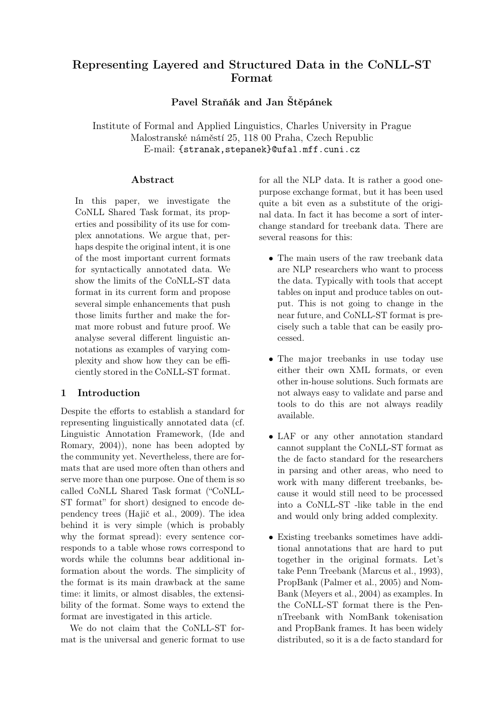# Representing Layered and Structured Data in the CoNLL-ST Format

Pavel Straňák and Jan Štěpánek

Institute of Formal and Applied Linguistics, Charles University in Prague Malostranské náměstí 25, 118 00 Praha, Czech Republic E-mail: {stranak,stepanek}@ufal.mff.cuni.cz

#### Abstract

In this paper, we investigate the CoNLL Shared Task format, its properties and possibility of its use for complex annotations. We argue that, perhaps despite the original intent, it is one of the most important current formats for syntactically annotated data. We show the limits of the CoNLL-ST data format in its current form and propose several simple enhancements that push those limits further and make the format more robust and future proof. We analyse several different linguistic annotations as examples of varying complexity and show how they can be efficiently stored in the CoNLL-ST format.

# <span id="page-0-0"></span>1 Introduction

Despite the efforts to establish a standard for representing linguistically annotated data (cf. Linguistic Annotation Framework, [\(Ide and](#page-8-0) [Romary, 2004\)](#page-8-0)), none has been adopted by the community yet. Nevertheless, there are formats that are used more often than others and serve more than one purpose. One of them is so called CoNLL Shared Task format ("CoNLL-ST format" for short) designed to encode dependency trees [\(Hajič et al., 2009\)](#page-8-1). The idea behind it is very simple (which is probably why the format spread): every sentence corresponds to a table whose rows correspond to words while the columns bear additional information about the words. The simplicity of the format is its main drawback at the same time: it limits, or almost disables, the extensibility of the format. Some ways to extend the format are investigated in this article.

We do not claim that the CoNLL-ST format is the universal and generic format to use

for all the NLP data. It is rather a good onepurpose exchange format, but it has been used quite a bit even as a substitute of the original data. In fact it has become a sort of interchange standard for treebank data. There are several reasons for this:

- The main users of the raw treebank data are NLP researchers who want to process the data. Typically with tools that accept tables on input and produce tables on output. This is not going to change in the near future, and CoNLL-ST format is precisely such a table that can be easily processed.
- The major treebanks in use today use either their own XML formats, or even other in-house solutions. Such formats are not always easy to validate and parse and tools to do this are not always readily available.
- LAF or any other annotation standard cannot supplant the CoNLL-ST format as the de facto standard for the researchers in parsing and other areas, who need to work with many different treebanks, because it would still need to be processed into a CoNLL-ST -like table in the end and would only bring added complexity.
- Existing treebanks sometimes have additional annotations that are hard to put together in the original formats. Let's take Penn Treebank [\(Marcus et al., 1993\)](#page-8-2), PropBank [\(Palmer et al., 2005\)](#page-8-3) and Nom-Bank [\(Meyers et al., 2004\)](#page-8-4) as examples. In the CoNLL-ST format there is the PennTreebank with NomBank tokenisation and PropBank frames. It has been widely distributed, so it is a de facto standard for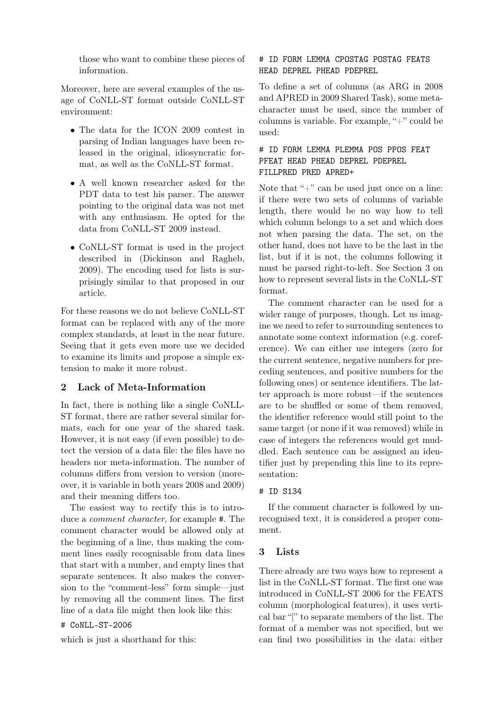those who want to combine these pieces of information.

Moreover, here are several examples of the usage of CoNLL-ST format outside CoNLL-ST environment:

- The data for the ICON 2009 contest in parsing of Indian languages have been released in the original, idiosyncratic format, as well as the CoNLL-ST format.
- A well known researcher asked for the PDT data to test his parser. The answer pointing to the original data was not met with any enthusiasm. He opted for the data from CoNLL-ST 2009 instead.
- CoNLL-ST format is used in the project described in [\(Dickinson and Ragheb,](#page-7-0) [2009\)](#page-7-0). The encoding used for lists is surprisingly similar to that proposed in our article.

For these reasons we do not believe CoNLL-ST format can be replaced with any of the more complex standards, at least in the near future. Seeing that it gets even more use we decided to examine its limits and propose a simple extension to make it more robust.

# <span id="page-1-1"></span>2 Lack of Meta-Information

In fact, there is nothing like a single CoNLL-ST format, there are rather several similar formats, each for one year of the shared task. However, it is not easy (if even possible) to detect the version of a data file: the files have no headers nor meta-information. The number of columns differs from version to version (moreover, it is variable in both years 2008 and 2009) and their meaning differs too.

The easiest way to rectify this is to introduce a comment character, for example #. The comment character would be allowed only at the beginning of a line, thus making the comment lines easily recognisable from data lines that start with a number, and empty lines that separate sentences. It also makes the conversion to the "comment-less" form simple—just by removing all the comment lines. The first line of a data file might then look like this:

# # CoNLL-ST-2006

which is just a shorthand for this:

# # ID FORM LEMMA CPOSTAG POSTAG FEATS HEAD DEPREL PHEAD PDEPREL

To define a set of columns (as ARG in 2008 and APRED in 2009 Shared Task), some metacharacter must be used, since the number of columns is variable. For example, "+" could be used:

# # ID FORM LEMMA PLEMMA POS PPOS FEAT PFEAT HEAD PHEAD DEPREL PDEPREL FILLPRED PRED APRED+

Note that "+" can be used just once on a line: if there were two sets of columns of variable length, there would be no way how to tell which column belongs to a set and which does not when parsing the data. The set, on the other hand, does not have to be the last in the list, but if it is not, the columns following it must be parsed right-to-left. See Section [3](#page-1-0) on how to represent several lists in the CoNLL-ST format.

The comment character can be used for a wider range of purposes, though. Let us imagine we need to refer to surrounding sentences to annotate some context information (e.g. coreference). We can either use integers (zero for the current sentence, negative numbers for preceding sentences, and positive numbers for the following ones) or sentence identifiers. The latter approach is more robust—if the sentences are to be shuffled or some of them removed, the identifier reference would still point to the same target (or none if it was removed) while in case of integers the references would get muddled. Each sentence can be assigned an identifier just by prepending this line to its representation:

#### # ID S134

If the comment character is followed by unrecognised text, it is considered a proper comment.

# <span id="page-1-0"></span>3 Lists

There already are two ways how to represent a list in the CoNLL-ST format. The first one was introduced in CoNLL-ST 2006 for the FEATS column (morphological features), it uses vertical bar "|" to separate members of the list. The format of a member was not specified, but we can find two possibilities in the data: either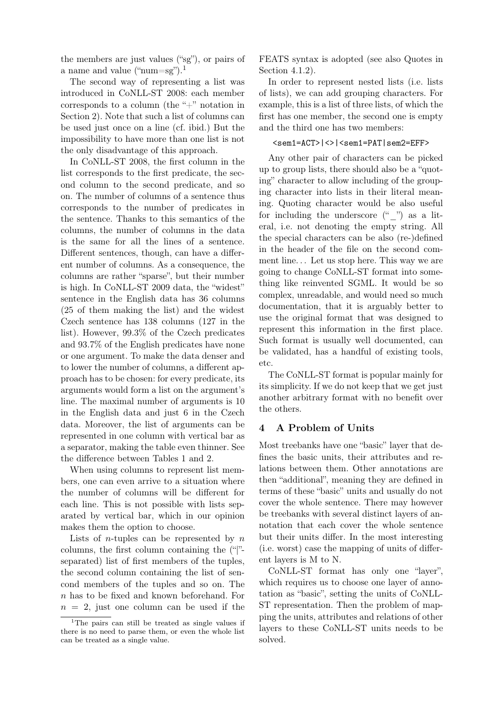the members are just values ("sg"), or pairs of a name and value ("num=sg").<sup>[1](#page-2-0)</sup>

The second way of representing a list was introduced in CoNLL-ST 2008: each member corresponds to a column (the "+" notation in Section [2\)](#page-1-1). Note that such a list of columns can be used just once on a line (cf. ibid.) But the impossibility to have more than one list is not the only disadvantage of this approach.

In CoNLL-ST 2008, the first column in the list corresponds to the first predicate, the second column to the second predicate, and so on. The number of columns of a sentence thus corresponds to the number of predicates in the sentence. Thanks to this semantics of the columns, the number of columns in the data is the same for all the lines of a sentence. Different sentences, though, can have a different number of columns. As a consequence, the columns are rather "sparse", but their number is high. In CoNLL-ST 2009 data, the "widest" sentence in the English data has 36 columns (25 of them making the list) and the widest Czech sentence has 138 columns (127 in the list). However, 99.3% of the Czech predicates and 93.7% of the English predicates have none or one argument. To make the data denser and to lower the number of columns, a different approach has to be chosen: for every predicate, its arguments would form a list on the argument's line. The maximal number of arguments is 10 in the English data and just 6 in the Czech data. Moreover, the list of arguments can be represented in one column with vertical bar as a separator, making the table even thinner. See the difference between Tables [1](#page-3-0) and [2.](#page-4-0)

When using columns to represent list members, one can even arrive to a situation where the number of columns will be different for each line. This is not possible with lists separated by vertical bar, which in our opinion makes them the option to choose.

Lists of *n*-tuples can be represented by  $n$ columns, the first column containing the ("|" separated) list of first members of the tuples, the second column containing the list of sencond members of the tuples and so on. The n has to be fixed and known beforehand. For  $n = 2$ , just one column can be used if the

FEATS syntax is adopted (see also Quotes in Section [4.1.2\)](#page-4-1).

In order to represent nested lists (i.e. lists of lists), we can add grouping characters. For example, this is a list of three lists, of which the first has one member, the second one is empty and the third one has two members:

#### <sem1=ACT>|<>|<sem1=PAT|sem2=EFF>

Any other pair of characters can be picked up to group lists, there should also be a "quoting" character to allow including of the grouping character into lists in their literal meaning. Quoting character would be also useful for including the underscore  $(\lq$ ") as a literal, i.e. not denoting the empty string. All the special characters can be also (re-)defined in the header of the file on the second comment line. . . Let us stop here. This way we are going to change CoNLL-ST format into something like reinvented SGML. It would be so complex, unreadable, and would need so much documentation, that it is arguably better to use the original format that was designed to represent this information in the first place. Such format is usually well documented, can be validated, has a handful of existing tools, etc.

The CoNLL-ST format is popular mainly for its simplicity. If we do not keep that we get just another arbitrary format with no benefit over the others.

### 4 A Problem of Units

Most treebanks have one "basic" layer that defines the basic units, their attributes and relations between them. Other annotations are then "additional", meaning they are defined in terms of these "basic" units and usually do not cover the whole sentence. There may however be treebanks with several distinct layers of annotation that each cover the whole sentence but their units differ. In the most interesting (i.e. worst) case the mapping of units of different layers is M to N.

CoNLL-ST format has only one "layer", which requires us to choose one layer of annotation as "basic", setting the units of CoNLL-ST representation. Then the problem of mapping the units, attributes and relations of other layers to these CoNLL-ST units needs to be solved.

<span id="page-2-0"></span><sup>&</sup>lt;sup>1</sup>The pairs can still be treated as single values if there is no need to parse them, or even the whole list can be treated as a single value.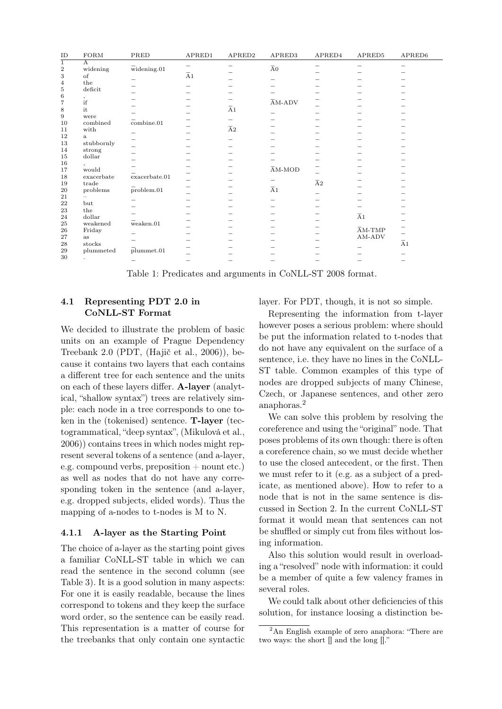| $\rm ID$       | $_{\rm FORM}$  | PRED                              | APRED1              | APRED2                      | APRED3                            | APRED4                 | APRED5                            | APRED6              |
|----------------|----------------|-----------------------------------|---------------------|-----------------------------|-----------------------------------|------------------------|-----------------------------------|---------------------|
| $\mathbf{1}$   | $\overline{A}$ |                                   | -                   | $\overline{\phantom{0}}$    |                                   | -                      |                                   | -                   |
| $\overline{2}$ | widening       | $\bar{w}$ idening.01              |                     |                             | $\overline{{\rm A}}0$             |                        |                                   |                     |
| 3              | of             |                                   | $\overline{\rm A}1$ |                             |                                   |                        |                                   |                     |
| $\overline{4}$ | the            |                                   | -                   |                             |                                   |                        |                                   |                     |
| 5              | deficit        |                                   |                     |                             |                                   |                        |                                   |                     |
| 6              |                |                                   |                     |                             |                                   |                        |                                   |                     |
| $\overline{7}$ | $\int_{if}$    |                                   |                     |                             | $\overline{\text{A}}\text{M-ADV}$ |                        |                                   |                     |
| 8              | it             |                                   |                     | $\overline{\rm A}1$         | -                                 |                        |                                   |                     |
| $\,9$          | were           |                                   |                     | -                           |                                   |                        |                                   |                     |
| 10             | combined       | $\overline{\text{combine}}.01$    |                     |                             |                                   |                        |                                   |                     |
| 11             | with           |                                   |                     | ${\overline {\mathrm{A}}}2$ |                                   |                        |                                   |                     |
| 12             | a              | -                                 |                     |                             |                                   |                        |                                   |                     |
| 13             | stubbornly     |                                   |                     | -                           |                                   |                        |                                   |                     |
| 14             | strong         |                                   |                     |                             |                                   |                        |                                   |                     |
| 15             | dollar         |                                   |                     |                             |                                   |                        |                                   |                     |
| 16             |                |                                   |                     |                             |                                   |                        |                                   |                     |
| 17             | would          |                                   |                     |                             | $\overline{\text{AM-MOD}}$        |                        |                                   |                     |
| 18             | exacerbate     | $\overline{\text{exact}}$ bate.01 |                     |                             |                                   |                        |                                   |                     |
| 19             | trade          |                                   |                     |                             | -                                 | ${\overline {\rm A}}2$ |                                   |                     |
| 20             | problems       | problem.01                        |                     |                             | $\overline{A}1$                   |                        |                                   |                     |
| 21             |                |                                   |                     |                             |                                   |                        |                                   |                     |
| 22             | but            |                                   |                     |                             | -                                 |                        |                                   |                     |
| 23             | the            |                                   |                     |                             |                                   |                        |                                   |                     |
| 24             | dollar         |                                   |                     |                             |                                   |                        | $\overline{A}1$                   |                     |
| 25             | weakened       | $\bar{w}$ eaken.01                |                     |                             |                                   |                        |                                   |                     |
| 26             | Friday         |                                   |                     |                             |                                   |                        | $\overline{\text{A}}\text{M-TMP}$ |                     |
| 27             | as             | -                                 |                     |                             |                                   |                        | AM-ADV                            |                     |
| 28             | stocks         |                                   |                     |                             |                                   |                        |                                   | $\overline{\rm A}1$ |
| 29             | plummeted      | plummet.01                        |                     |                             |                                   |                        |                                   |                     |
| 30             |                |                                   |                     |                             |                                   |                        |                                   |                     |
|                |                |                                   |                     |                             |                                   |                        |                                   | -                   |

<span id="page-3-0"></span>Table 1: Predicates and arguments in CoNLL-ST 2008 format.

# <span id="page-3-3"></span>4.1 Representing PDT 2.0 in CoNLL-ST Format

We decided to illustrate the problem of basic units on an example of Prague Dependency Treebank 2.0 (PDT, [\(Hajič et al., 2006\)](#page-8-5)), because it contains two layers that each contains a different tree for each sentence and the units on each of these layers differ. A-layer (analytical, "shallow syntax") trees are relatively simple: each node in a tree corresponds to one token in the (tokenised) sentence. T-layer (tectogrammatical, "deep syntax", [\(Mikulová et al.,](#page-8-6) [2006\)](#page-8-6)) contains trees in which nodes might represent several tokens of a sentence (and a-layer, e.g. compound verbs, preposition  $+$  nount etc.) as well as nodes that do not have any corresponding token in the sentence (and a-layer, e.g. dropped subjects, elided words). Thus the mapping of a-nodes to t-nodes is M to N.

# <span id="page-3-2"></span>4.1.1 A-layer as the Starting Point

The choice of a-layer as the starting point gives a familiar CoNLL-ST table in which we can read the sentence in the second column (see Table [3\)](#page-4-2). It is a good solution in many aspects: For one it is easily readable, because the lines correspond to tokens and they keep the surface word order, so the sentence can be easily read. This representation is a matter of course for the treebanks that only contain one syntactic layer. For PDT, though, it is not so simple.

Representing the information from t-layer however poses a serious problem: where should be put the information related to t-nodes that do not have any equivalent on the surface of a sentence, i.e. they have no lines in the CoNLL-ST table. Common examples of this type of nodes are dropped subjects of many Chinese, Czech, or Japanese sentences, and other zero anaphoras.[2](#page-3-1)

We can solve this problem by resolving the coreference and using the "original" node. That poses problems of its own though: there is often a coreference chain, so we must decide whether to use the closed antecedent, or the first. Then we must refer to it (e.g. as a subject of a predicate, as mentioned above). How to refer to a node that is not in the same sentence is discussed in Section [2.](#page-1-1) In the current CoNLL-ST format it would mean that sentences can not be shuffled or simply cut from files without losing information.

Also this solution would result in overloading a "resolved" node with information: it could be a member of quite a few valency frames in several roles.

We could talk about other deficiencies of this solution, for instance loosing a distinction be-

<span id="page-3-1"></span><sup>&</sup>lt;sup>2</sup>An English example of zero anaphora: "There are two ways: the short  $\overline{\parallel}$  and the long  $\overline{\parallel}$ ."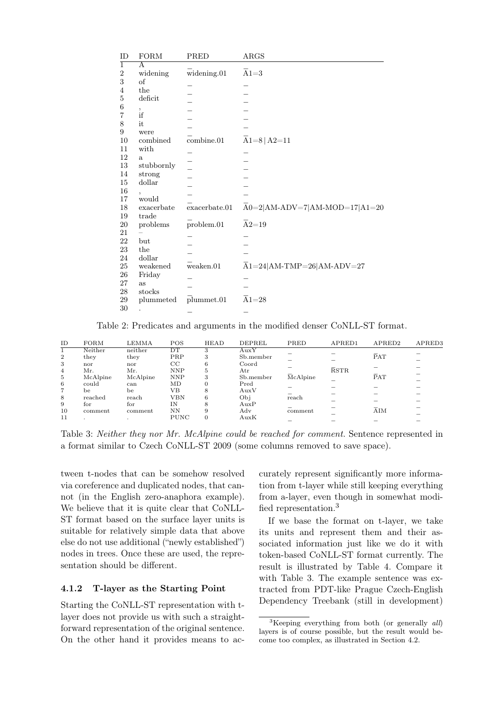| ID             | <b>FORM</b>  | PRED                            | ARGS                                       |
|----------------|--------------|---------------------------------|--------------------------------------------|
| $\overline{1}$ | A            |                                 |                                            |
| $\overline{2}$ | widening     | $\overline{\text{widening}}.01$ | $\overline{A}1=3$                          |
| 3              | of           |                                 |                                            |
| 4              | the          |                                 |                                            |
| $\bf 5$        | deficit      |                                 |                                            |
| 6              |              |                                 |                                            |
| $\overline{7}$ | ,<br>if      |                                 |                                            |
| 8              | it           |                                 |                                            |
| 9              | were         |                                 |                                            |
| 10             | combined     | combine.01                      | $A1=8$ $A2=11$                             |
| 11             | with         |                                 |                                            |
| 12             | $\mathbf{a}$ |                                 |                                            |
| $13\,$         | stubbornly   |                                 |                                            |
| 14             | strong       |                                 |                                            |
| 15             | dollar       |                                 |                                            |
| 16             |              |                                 |                                            |
| 17             | would        |                                 |                                            |
| 18             | exacerbate   | exacerbate.01                   | $\overline{A}0=2 AM-ADV=7 AM-MOD=17 A1=20$ |
| 19             | trade        |                                 |                                            |
| 20             |              | problem.01                      | $\overline{A}2=19$                         |
| 21             | problems     |                                 |                                            |
|                |              |                                 |                                            |
| 22             | but          |                                 |                                            |
| $\bf 23$       | the          |                                 |                                            |
| 24             | dollar       |                                 |                                            |
| 25             | weakened     | weaken.01                       | $A1=24$  AM-TMP=26 AM-ADV=27               |
| $26\,$         | Friday       |                                 |                                            |
| 27             | as           |                                 |                                            |
| 28             | stocks       |                                 |                                            |
| 29             | plummeted    | plummet.01                      | $\overline{A}1 = 28$                       |
| 30             |              |                                 |                                            |

<span id="page-4-0"></span>Table 2: Predicates and arguments in the modified denser CoNLL-ST format.

| ID             | <b>FORM</b> | <b>LEMMA</b> | <b>POS</b>  | HEAD     | DEPREL       | PRED     | APRED1            | APRED2            | APRED3 |
|----------------|-------------|--------------|-------------|----------|--------------|----------|-------------------|-------------------|--------|
|                | Neither     | neither      | DΤ          | 3        | AuxY         |          |                   |                   |        |
| $\overline{2}$ | they        | they         | PRP         | 3        | Sb.member    |          |                   | $\overline{P}AT$  |        |
| 3              | nor         | nor          | $_{\rm CC}$ | 6        | Coord        |          |                   |                   |        |
| 4              | Мr.         | Mr.          | <b>NNP</b>  | 5        | $_{\rm Atr}$ |          | $\overline{R}STR$ |                   |        |
| 5              | McAlpine    | McAlpine     | <b>NNP</b>  | 3        | Sb.member    | McAlpine |                   | PAT               |        |
| 6              | could       | can          | MD          |          | Pred         |          |                   |                   |        |
| 7              | be          | be           | VВ          | 8        | AuxV         |          |                   |                   |        |
| 8              | reached     | reach        | VBN         | 6        | Obj          | reach    |                   |                   |        |
| 9              | for         | for          | IΝ          | 8        | AuxP         |          |                   |                   |        |
| 10             | comment     | comment      | NΝ          | 9        | Adv          | comment  |                   | $\overline{A}$ IM |        |
| 11             |             |              | <b>PUNC</b> | $\Omega$ | AuxK         |          |                   |                   |        |

<span id="page-4-2"></span>Table 3: Neither they nor Mr. McAlpine could be reached for comment. Sentence represented in a format similar to Czech CoNLL-ST 2009 (some columns removed to save space).

tween t-nodes that can be somehow resolved via coreference and duplicated nodes, that cannot (in the English zero-anaphora example). We believe that it is quite clear that CoNLL-ST format based on the surface layer units is suitable for relatively simple data that above else do not use additional ("newly established") nodes in trees. Once these are used, the representation should be different.

#### <span id="page-4-1"></span>4.1.2 T-layer as the Starting Point

Starting the CoNLL-ST representation with tlayer does not provide us with such a straightforward representation of the original sentence. On the other hand it provides means to accurately represent significantly more information from t-layer while still keeping everything from a-layer, even though in somewhat modified representation.[3](#page-4-3)

If we base the format on t-layer, we take its units and represent them and their associated information just like we do it with token-based CoNLL-ST format currently. The result is illustrated by Table [4.](#page-5-0) Compare it with Table [3.](#page-4-2) The example sentence was extracted from PDT-like Prague Czech-English Dependency Treebank (still in development)

<span id="page-4-3"></span> ${}^{3}$ Keeping everything from both (or generally *all*) layers is of course possible, but the result would become too complex, as illustrated in Section [4.2.](#page-6-0)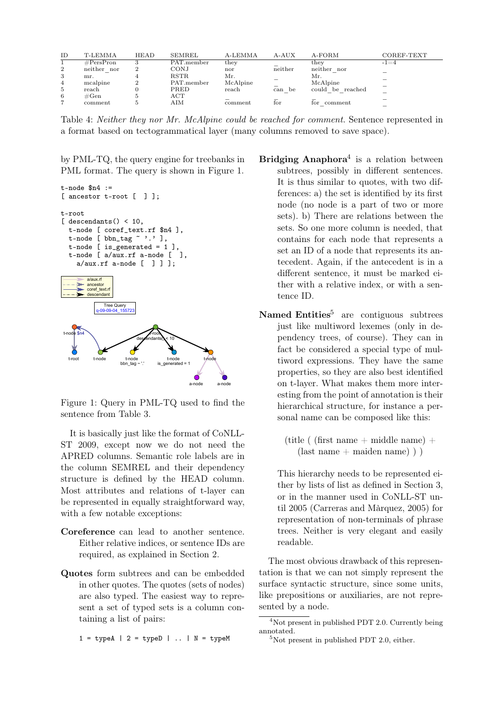| ID             | T-LEMMA             | <b>HEAD</b> | SEMREL      | A-LEMMA  | A-AUX                    | A-FORM                  | COREF-TEXT |
|----------------|---------------------|-------------|-------------|----------|--------------------------|-------------------------|------------|
|                | $\#\text{PersPron}$ |             | PAT.member  | they     |                          | they                    | $-1 = 4$   |
| $\mathbf{2}$   | neither nor         |             | CONJ        | nor      | neither                  | neither nor             |            |
| 3              | mr.                 |             | <b>RSTR</b> | Mr.      | $\overline{\phantom{a}}$ | Мr.                     |            |
| $\overline{4}$ | mcalpine            |             | PAT.member  | McAlpine |                          | McAlpine                |            |
| 5              | reach               |             | PRED        | reach    | -<br>can<br>be           | could<br>reached<br>be. |            |
| 6              | $\#\mathrm{Gen}$    |             | ACT         |          |                          |                         |            |
| ∽              | comment             |             | AIM         | comment  | for                      | comment<br>tor          |            |
|                |                     |             |             |          |                          |                         |            |

<span id="page-5-0"></span>Table 4: Neither they nor Mr. McAlpine could be reached for comment. Sentence represented in a format based on tectogrammatical layer (many columns removed to save space).

by PML-TQ, the query engine for treebanks in PML format. The query is shown in Figure [1.](#page-5-1)



<span id="page-5-1"></span>Figure 1: Query in PML-TQ used to find the sentence from Table [3.](#page-4-2)

It is basically just like the format of CoNLL-ST 2009, except now we do not need the APRED columns. Semantic role labels are in the column SEMREL and their dependency structure is defined by the HEAD column. Most attributes and relations of t-layer can be represented in equally straightforward way, with a few notable exceptions:

- Coreference can lead to another sentence. Either relative indices, or sentence IDs are required, as explained in Section [2.](#page-1-1)
- Quotes form subtrees and can be embedded in other quotes. The quotes (sets of nodes) are also typed. The easiest way to represent a set of typed sets is a column containing a list of pairs:

 $1 = typeA \mid 2 = typeD \mid ... \mid N = typeM$ 

- Bridging Anaphora<sup>[4](#page-5-2)</sup> is a relation between subtrees, possibly in different sentences. It is thus similar to quotes, with two differences: a) the set is identified by its first node (no node is a part of two or more sets). b) There are relations between the sets. So one more column is needed, that contains for each node that represents a set an ID of a node that represents its antecedent. Again, if the antecedent is in a different sentence, it must be marked either with a relative index, or with a sentence ID.
- Named Entities<sup>[5](#page-5-3)</sup> are contiguous subtrees just like multiword lexemes (only in dependency trees, of course). They can in fact be considered a special type of multiword expressions. They have the same properties, so they are also best identified on t-layer. What makes them more interesting from the point of annotation is their hierarchical structure, for instance a personal name can be composed like this:
	- (title ( (first name + middle name) +  $(last name + maiden name)$ )

This hierarchy needs to be represented either by lists of list as defined in Section [3,](#page-1-0) or in the manner used in CoNLL-ST until 2005 [\(Carreras and Màrquez, 2005\)](#page-7-1) for representation of non-terminals of phrase trees. Neither is very elegant and easily readable.

The most obvious drawback of this representation is that we can not simply represent the surface syntactic structure, since some units, like prepositions or auxiliaries, are not represented by a node.

<span id="page-5-2"></span> $4$ Not present in published PDT 2.0. Currently being annotated.

<span id="page-5-3"></span> $5$ Not present in published PDT 2.0, either.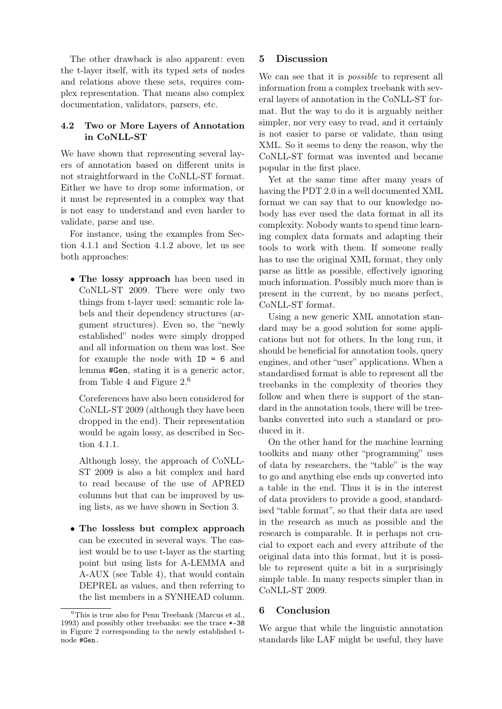The other drawback is also apparent: even the t-layer itself, with its typed sets of nodes and relations above these sets, requires complex representation. That means also complex documentation, validators, parsers, etc.

# <span id="page-6-0"></span>4.2 Two or More Layers of Annotation in CoNLL-ST

We have shown that representing several layers of annotation based on different units is not straightforward in the CoNLL-ST format. Either we have to drop some information, or it must be represented in a complex way that is not easy to understand and even harder to validate, parse and use.

For instance, using the examples from Section [4.1.1](#page-3-2) and Section [4.1.2](#page-4-1) above, let us see both approaches:

• The lossy approach has been used in CoNLL-ST 2009. There were only two things from t-layer used: semantic role labels and their dependency structures (argument structures). Even so, the "newly established" nodes were simply dropped and all information on them was lost. See for example the node with  $ID = 6$  and lemma #Gen, stating it is a generic actor, from Table [4](#page-5-0) and Figure  $2<sup>6</sup>$  $2<sup>6</sup>$  $2<sup>6</sup>$ 

Coreferences have also been considered for CoNLL-ST 2009 (although they have been dropped in the end). Their representation would be again lossy, as described in Section [4.1.1.](#page-3-2)

Although lossy, the approach of CoNLL-ST 2009 is also a bit complex and hard to read because of the use of APRED columns but that can be improved by using lists, as we have shown in Section [3.](#page-1-0)

• The lossless but complex approach can be executed in several ways. The easiest would be to use t-layer as the starting point but using lists for A-LEMMA and A-AUX (see Table [4\)](#page-5-0), that would contain DEPREL as values, and then referring to the list members in a SYNHEAD column.

# 5 Discussion

We can see that it is *possible* to represent all information from a complex treebank with several layers of annotation in the CoNLL-ST format. But the way to do it is arguably neither simpler, nor very easy to read, and it certainly is not easier to parse or validate, than using XML. So it seems to deny the reason, why the CoNLL-ST format was invented and became popular in the first place.

Yet at the same time after many years of having the PDT 2.0 in a well documented XML format we can say that to our knowledge nobody has ever used the data format in all its complexity. Nobody wants to spend time learning complex data formats and adapting their tools to work with them. If someone really has to use the original XML format, they only parse as little as possible, effectively ignoring much information. Possibly much more than is present in the current, by no means perfect, CoNLL-ST format.

Using a new generic XML annotation standard may be a good solution for some applications but not for others. In the long run, it should be beneficial for annotation tools, query engines, and other "user" applications. When a standardised format is able to represent all the treebanks in the complexity of theories they follow and when there is support of the standard in the annotation tools, there will be treebanks converted into such a standard or produced in it.

On the other hand for the machine learning toolkits and many other "programming" uses of data by researchers, the "table" is the way to go and anything else ends up converted into a table in the end. Thus it is in the interest of data providers to provide a good, standardised "table format", so that their data are used in the research as much as possible and the research is comparable. It is perhaps not crucial to export each and every attribute of the original data into this format, but it is possible to represent quite a bit in a surprisingly simple table. In many respects simpler than in CoNLL-ST 2009.

# 6 Conclusion

We argue that while the linguistic annotation standards like LAF might be useful, they have

<span id="page-6-1"></span> $6$ This is true also for Penn Treebank [\(Marcus et al.,](#page-8-2) [1993\)](#page-8-2) and possibly other treebanks: see the trace \*-38 in Figure [2](#page-7-2) corresponding to the newly established tnode #Gen.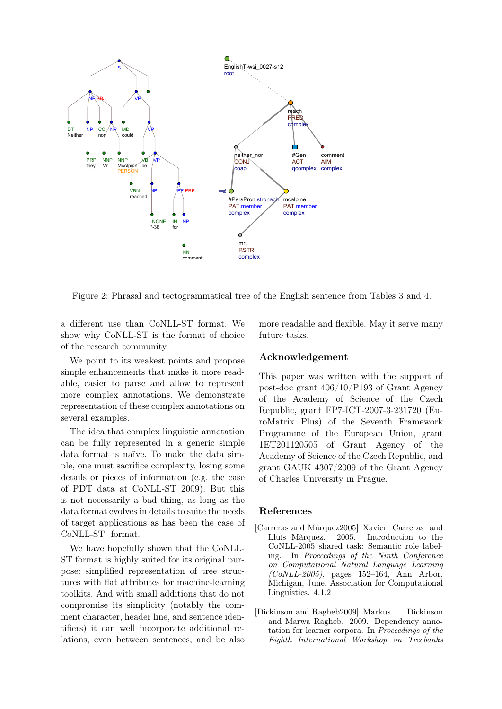

<span id="page-7-2"></span>Figure 2: Phrasal and tectogrammatical tree of the English sentence from Tables [3](#page-4-2) and [4.](#page-5-0)

a different use than CoNLL-ST format. We show why CoNLL-ST is the format of choice of the research community.

We point to its weakest points and propose simple enhancements that make it more readable, easier to parse and allow to represent more complex annotations. We demonstrate representation of these complex annotations on several examples.

The idea that complex linguistic annotation can be fully represented in a generic simple data format is naïve. To make the data simple, one must sacrifice complexity, losing some details or pieces of information (e.g. the case of PDT data at CoNLL-ST 2009). But this is not necessarily a bad thing, as long as the data format evolves in details to suite the needs of target applications as has been the case of CoNLL-ST format.

We have hopefully shown that the CoNLL-ST format is highly suited for its original purpose: simplified representation of tree structures with flat attributes for machine-learning toolkits. And with small additions that do not compromise its simplicity (notably the comment character, header line, and sentence identifiers) it can well incorporate additional relations, even between sentences, and be also

more readable and flexible. May it serve many future tasks.

#### Acknowledgement

This paper was written with the support of post-doc grant 406/10/P193 of Grant Agency of the Academy of Science of the Czech Republic, grant FP7-ICT-2007-3-231720 (EuroMatrix Plus) of the Seventh Framework Programme of the European Union, grant 1ET201120505 of Grant Agency of the Academy of Science of the Czech Republic, and grant GAUK 4307/2009 of the Grant Agency of Charles University in Prague.

### References

- <span id="page-7-1"></span>[Carreras and Màrquez2005] Xavier Carreras and Lluís Màrquez. 2005. Introduction to the CoNLL-2005 shared task: Semantic role labeling. In Proceedings of the Ninth Conference on Computational Natural Language Learning  $(CoNLL-2005)$ , pages 152–164, Ann Arbor, Michigan, June. Association for Computational Linguistics. [4.1.2](#page-5-1)
- <span id="page-7-0"></span>[Dickinson and Ragheb2009] Markus Dickinson and Marwa Ragheb. 2009. Dependency annotation for learner corpora. In Proceedings of the Eighth International Workshop on Treebanks